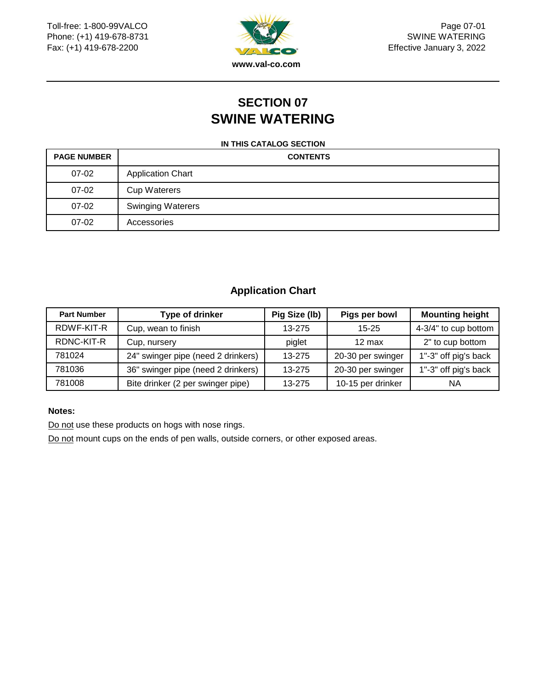

Page 07-01 SWINE WATERING Effective January 3, 2022

## **SECTION 07 SWINE WATERING**

#### **IN THIS CATALOG SECTION**

| <b>PAGE NUMBER</b> | <b>CONTENTS</b>          |
|--------------------|--------------------------|
| 07-02              | <b>Application Chart</b> |
| 07-02              | <b>Cup Waterers</b>      |
| 07-02              | <b>Swinging Waterers</b> |
| $07-02$            | Accessories              |

### **Application Chart**

| <b>Part Number</b> | Type of drinker                    | Pig Size (lb) | Pigs per bowl     | <b>Mounting height</b> |
|--------------------|------------------------------------|---------------|-------------------|------------------------|
| RDWF-KIT-R         | Cup, wean to finish                | 13-275        | $15 - 25$         | 4-3/4" to cup bottom   |
| RDNC-KIT-R         | Cup, nursery                       | piglet        | $12 \text{ max}$  | 2" to cup bottom       |
| 781024             | 24" swinger pipe (need 2 drinkers) | 13-275        | 20-30 per swinger | 1"-3" off pig's back   |
| 781036             | 36" swinger pipe (need 2 drinkers) | 13-275        | 20-30 per swinger | 1"-3" off pig's back   |
| 781008             | Bite drinker (2 per swinger pipe)  | 13-275        | 10-15 per drinker | ΝA                     |

#### **Notes:**

Do not use these products on hogs with nose rings.

Do not mount cups on the ends of pen walls, outside corners, or other exposed areas.